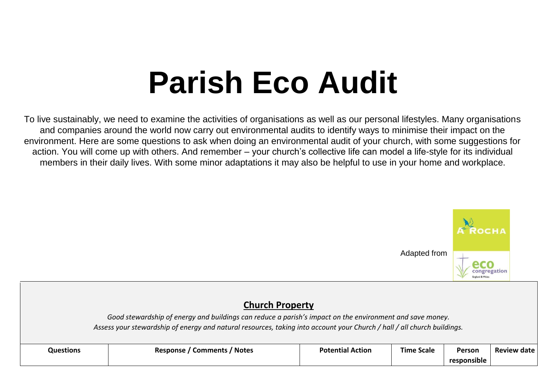# **Parish Eco Audit**

To live sustainably, we need to examine the activities of organisations as well as our personal lifestyles. Many organisations and companies around the world now carry out environmental audits to identify ways to minimise their impact on the environment. Here are some questions to ask when doing an environmental audit of your church, with some suggestions for action. You will come up with others. And remember – your church's collective life can model a life-style for its individual members in their daily lives. With some minor adaptations it may also be helpful to use in your home and workplace.



## **Church Property**

*Good stewardship of energy and buildings can reduce a parish's impact on the environment and save money. Assess your stewardship of energy and natural resources, taking into account your Church / hall / all church buildings.* 

| <b>Questions</b> | / Notes<br><b>Comments</b><br>Response | <b>Potential Action</b> | <b>Time Scale</b> | Person      | <b>Review date</b> |
|------------------|----------------------------------------|-------------------------|-------------------|-------------|--------------------|
|                  |                                        |                         |                   | responsible |                    |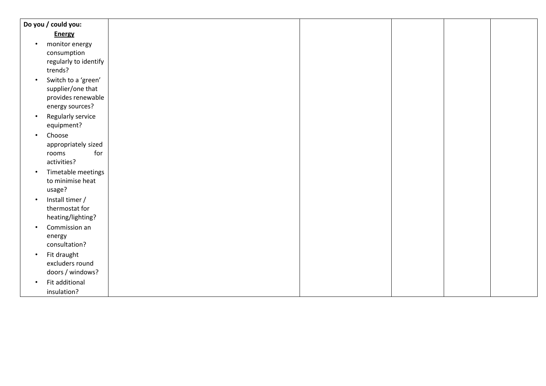|           | Do you / could you:   |
|-----------|-----------------------|
|           | <b>Energy</b>         |
| $\bullet$ | monitor energy        |
|           | consumption           |
|           | regularly to identify |
|           | trends?               |
| $\bullet$ | Switch to a 'green'   |
|           | supplier/one that     |
|           | provides renewable    |
|           | energy sources?       |
| $\bullet$ | Regularly service     |
|           | equipment?            |
| $\bullet$ | Choose                |
|           | appropriately sized   |
|           | for<br>rooms          |
|           | activities?           |
|           | Timetable meetings    |
|           | to minimise heat      |
|           | usage?                |
| $\bullet$ | Install timer /       |
|           | thermostat for        |
|           | heating/lighting?     |
| $\bullet$ | Commission an         |
|           | energy                |
|           | consultation?         |
| $\bullet$ | Fit draught           |
|           | excluders round       |
|           | doors / windows?      |
| $\bullet$ | Fit additional        |
|           |                       |
|           | insulation?           |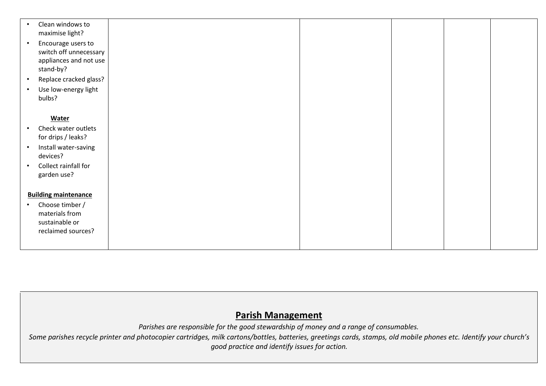| Clean windows to<br>maximise light?                                                              |  |  |
|--------------------------------------------------------------------------------------------------|--|--|
| Encourage users to<br>$\bullet$<br>switch off unnecessary<br>appliances and not use<br>stand-by? |  |  |
| Replace cracked glass?                                                                           |  |  |
| Use low-energy light<br>$\bullet$<br>bulbs?                                                      |  |  |
| <b>Water</b>                                                                                     |  |  |
| Check water outlets<br>$\bullet$<br>for drips / leaks?                                           |  |  |
| Install water-saving<br>$\bullet$<br>devices?                                                    |  |  |
| Collect rainfall for<br>garden use?                                                              |  |  |
| <b>Building maintenance</b>                                                                      |  |  |
| Choose timber /                                                                                  |  |  |
| materials from                                                                                   |  |  |
| sustainable or                                                                                   |  |  |
| reclaimed sources?                                                                               |  |  |
|                                                                                                  |  |  |

### **Parish Management**

*Parishes are responsible for the good stewardship of money and a range of consumables.* 

Some parishes recycle printer and photocopier cartridges, milk cartons/bottles, batteries, greetings cards, stamps, old mobile phones etc. Identify your church's *good practice and identify issues for action.*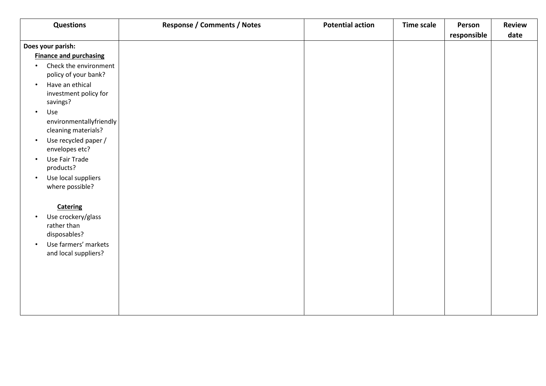| <b>Questions</b>                                                                                                                               | <b>Response / Comments / Notes</b> | <b>Potential action</b> | <b>Time scale</b> | Person      | <b>Review</b> |
|------------------------------------------------------------------------------------------------------------------------------------------------|------------------------------------|-------------------------|-------------------|-------------|---------------|
|                                                                                                                                                |                                    |                         |                   | responsible | date          |
| Does your parish:                                                                                                                              |                                    |                         |                   |             |               |
| <b>Finance and purchasing</b>                                                                                                                  |                                    |                         |                   |             |               |
| Check the environment<br>$\bullet$<br>policy of your bank?                                                                                     |                                    |                         |                   |             |               |
| Have an ethical<br>$\bullet$<br>investment policy for<br>savings?                                                                              |                                    |                         |                   |             |               |
| Use<br>$\bullet$<br>environmentallyfriendly<br>cleaning materials?                                                                             |                                    |                         |                   |             |               |
| Use recycled paper /<br>$\bullet$<br>envelopes etc?                                                                                            |                                    |                         |                   |             |               |
| Use Fair Trade<br>$\bullet$<br>products?                                                                                                       |                                    |                         |                   |             |               |
| Use local suppliers<br>$\bullet$<br>where possible?                                                                                            |                                    |                         |                   |             |               |
| <b>Catering</b><br>Use crockery/glass<br>$\bullet$<br>rather than<br>disposables?<br>Use farmers' markets<br>$\bullet$<br>and local suppliers? |                                    |                         |                   |             |               |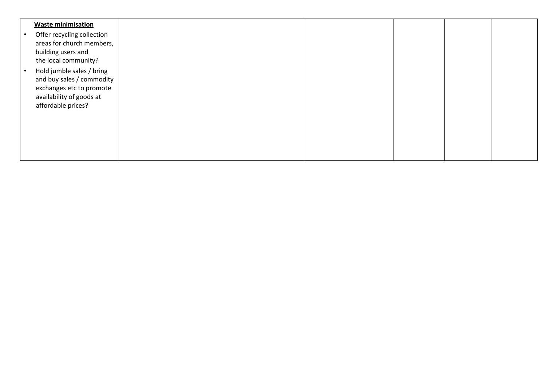| <b>Waste minimisation</b><br>Offer recycling collection<br>areas for church members,<br>building users and<br>the local community?   |  |  |  |
|--------------------------------------------------------------------------------------------------------------------------------------|--|--|--|
| Hold jumble sales / bring<br>and buy sales / commodity<br>exchanges etc to promote<br>availability of goods at<br>affordable prices? |  |  |  |
|                                                                                                                                      |  |  |  |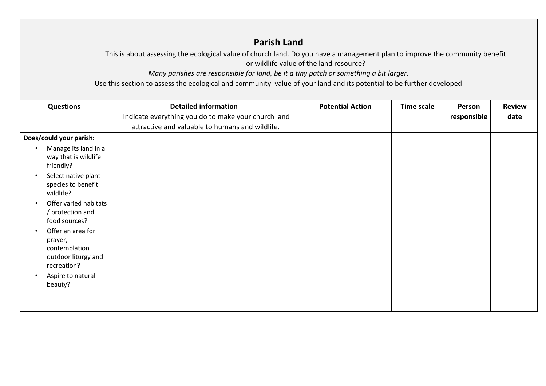## **Parish Land**

This is about assessing the ecological value of church land. Do you have a management plan to improve the community benefit or wildlife value of the land resource?

*Many parishes are responsible for land, be it a tiny patch or something a bit larger.*

Use this section to assess the ecological and community value of your land and its potential to be further developed

| <b>Questions</b>                                                                                                                   | <b>Detailed information</b>                         | <b>Potential Action</b> | <b>Time scale</b> | Person      | <b>Review</b> |
|------------------------------------------------------------------------------------------------------------------------------------|-----------------------------------------------------|-------------------------|-------------------|-------------|---------------|
|                                                                                                                                    | Indicate everything you do to make your church land |                         |                   | responsible | date          |
|                                                                                                                                    | attractive and valuable to humans and wildlife.     |                         |                   |             |               |
| Does/could your parish:                                                                                                            |                                                     |                         |                   |             |               |
| Manage its land in a<br>$\bullet$<br>way that is wildlife<br>friendly?                                                             |                                                     |                         |                   |             |               |
| Select native plant<br>$\bullet$<br>species to benefit<br>wildlife?                                                                |                                                     |                         |                   |             |               |
| Offer varied habitats<br>$\bullet$<br>/ protection and<br>food sources?                                                            |                                                     |                         |                   |             |               |
| Offer an area for<br>$\bullet$<br>prayer,<br>contemplation<br>outdoor liturgy and<br>recreation?<br>Aspire to natural<br>$\bullet$ |                                                     |                         |                   |             |               |
| beauty?                                                                                                                            |                                                     |                         |                   |             |               |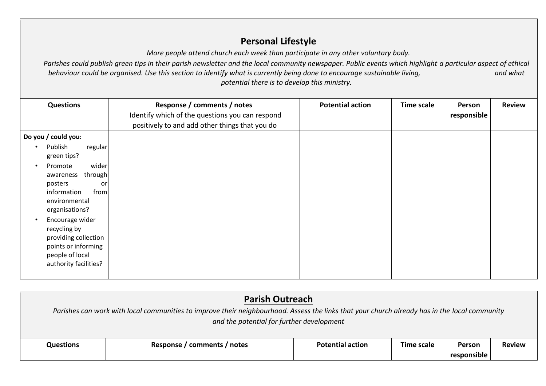# **Personal Lifestyle**

*More people attend church each week than participate in any other voluntary body.* 

Parishes could publish green tips in their parish newsletter and the local community newspaper. Public events which highlight a particular aspect of ethical *behaviour could be organised. Use this section to identify what is currently being done to encourage sustainable living, and what potential there is to develop this ministry.* 

| <b>Questions</b>                                                                                                                                                                                                                                                                                                                                     | Response / comments / notes<br>Identify which of the questions you can respond<br>positively to and add other things that you do | <b>Potential action</b> | <b>Time scale</b> | Person<br>responsible | <b>Review</b> |
|------------------------------------------------------------------------------------------------------------------------------------------------------------------------------------------------------------------------------------------------------------------------------------------------------------------------------------------------------|----------------------------------------------------------------------------------------------------------------------------------|-------------------------|-------------------|-----------------------|---------------|
| Do you / could you:<br>Publish<br>regular<br>$\bullet$<br>green tips?<br>wider<br>Promote<br>$\bullet$<br>through<br>awareness<br>posters<br>or<br>information<br>from<br>environmental<br>organisations?<br>Encourage wider<br>$\bullet$<br>recycling by<br>providing collection<br>points or informing<br>people of local<br>authority facilities? |                                                                                                                                  |                         |                   |                       |               |

|           | <b>Parish Outreach</b><br>Parishes can work with local communities to improve their neighbourhood. Assess the links that your church already has in the local community<br>and the potential for further development |                         |                   |                       |               |  |
|-----------|----------------------------------------------------------------------------------------------------------------------------------------------------------------------------------------------------------------------|-------------------------|-------------------|-----------------------|---------------|--|
| Questions | Response / comments / notes                                                                                                                                                                                          | <b>Potential action</b> | <b>Time scale</b> | Person<br>responsible | <b>Review</b> |  |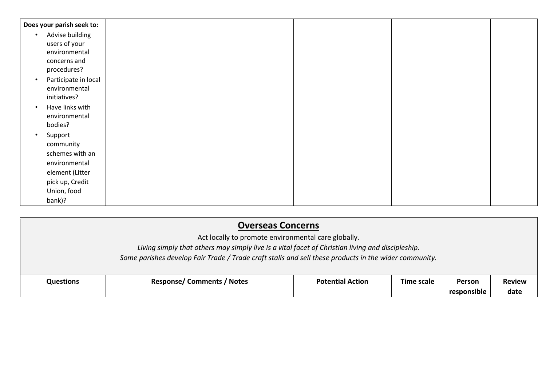| Does your parish seek to:         |  |  |  |
|-----------------------------------|--|--|--|
| Advise building<br>$\bullet$      |  |  |  |
| users of your                     |  |  |  |
| environmental                     |  |  |  |
| concerns and                      |  |  |  |
| procedures?                       |  |  |  |
| Participate in local<br>$\bullet$ |  |  |  |
| environmental                     |  |  |  |
| initiatives?                      |  |  |  |
| Have links with                   |  |  |  |
| environmental                     |  |  |  |
| bodies?                           |  |  |  |
| Support                           |  |  |  |
| community                         |  |  |  |
| schemes with an                   |  |  |  |
| environmental                     |  |  |  |
| element (Litter                   |  |  |  |
| pick up, Credit                   |  |  |  |
| Union, food                       |  |  |  |
| bank)?                            |  |  |  |

| <b>Overseas Concerns</b> |                                                                                                                                                                                                           |                         |                   |             |               |  |  |
|--------------------------|-----------------------------------------------------------------------------------------------------------------------------------------------------------------------------------------------------------|-------------------------|-------------------|-------------|---------------|--|--|
|                          | Act locally to promote environmental care globally.                                                                                                                                                       |                         |                   |             |               |  |  |
|                          | Living simply that others may simply live is a vital facet of Christian living and discipleship.<br>Some parishes develop Fair Trade / Trade craft stalls and sell these products in the wider community. |                         |                   |             |               |  |  |
| <b>Questions</b>         | <b>Response/Comments / Notes</b>                                                                                                                                                                          | <b>Potential Action</b> | <b>Time scale</b> | Person      | <b>Review</b> |  |  |
|                          |                                                                                                                                                                                                           |                         |                   | responsible | date          |  |  |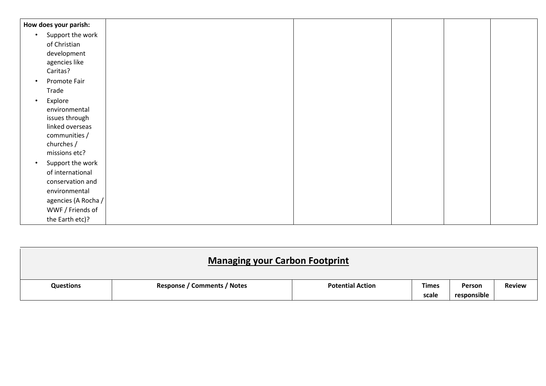|           | How does your parish: |  |  |  |
|-----------|-----------------------|--|--|--|
| $\bullet$ | Support the work      |  |  |  |
|           | of Christian          |  |  |  |
|           | development           |  |  |  |
|           | agencies like         |  |  |  |
|           | Caritas?              |  |  |  |
| $\bullet$ | Promote Fair          |  |  |  |
|           | Trade                 |  |  |  |
| $\bullet$ | Explore               |  |  |  |
|           | environmental         |  |  |  |
|           | issues through        |  |  |  |
|           | linked overseas       |  |  |  |
|           | communities /         |  |  |  |
|           | churches /            |  |  |  |
|           | missions etc?         |  |  |  |
| $\bullet$ | Support the work      |  |  |  |
|           | of international      |  |  |  |
|           | conservation and      |  |  |  |
|           | environmental         |  |  |  |
|           | agencies (A Rocha /   |  |  |  |
|           | WWF / Friends of      |  |  |  |
|           | the Earth etc)?       |  |  |  |

| <b>Managing your Carbon Footprint</b> |                                    |                         |              |             |               |
|---------------------------------------|------------------------------------|-------------------------|--------------|-------------|---------------|
| <b>Questions</b>                      | <b>Response / Comments / Notes</b> | <b>Potential Action</b> | <b>Times</b> | Person      | <b>Review</b> |
|                                       |                                    |                         | scale        | responsible |               |